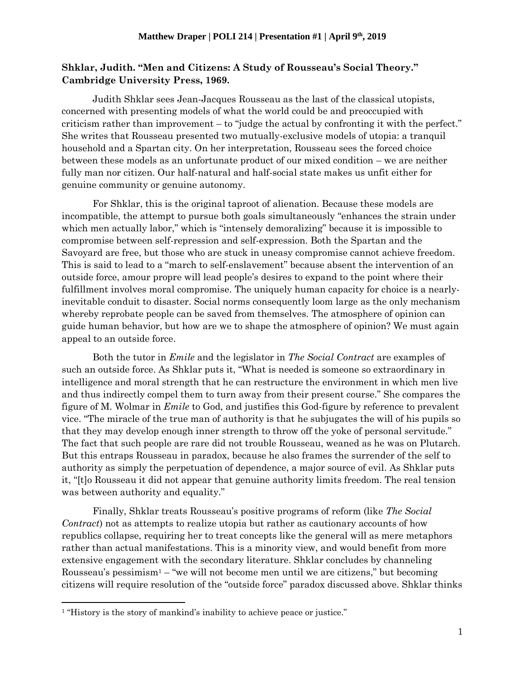## **Shklar, Judith. "Men and Citizens: A Study of Rousseau's Social Theory." Cambridge University Press, 1969.**

Judith Shklar sees Jean-Jacques Rousseau as the last of the classical utopists, concerned with presenting models of what the world could be and preoccupied with criticism rather than improvement – to "judge the actual by confronting it with the perfect." She writes that Rousseau presented two mutually-exclusive models of utopia: a tranquil household and a Spartan city. On her interpretation, Rousseau sees the forced choice between these models as an unfortunate product of our mixed condition – we are neither fully man nor citizen. Our half-natural and half-social state makes us unfit either for genuine community or genuine autonomy.

For Shklar, this is the original taproot of alienation. Because these models are incompatible, the attempt to pursue both goals simultaneously "enhances the strain under which men actually labor," which is "intensely demoralizing" because it is impossible to compromise between self-repression and self-expression. Both the Spartan and the Savoyard are free, but those who are stuck in uneasy compromise cannot achieve freedom. This is said to lead to a "march to self-enslavement" because absent the intervention of an outside force, amour propre will lead people's desires to expand to the point where their fulfillment involves moral compromise. The uniquely human capacity for choice is a nearlyinevitable conduit to disaster. Social norms consequently loom large as the only mechanism whereby reprobate people can be saved from themselves. The atmosphere of opinion can guide human behavior, but how are we to shape the atmosphere of opinion? We must again appeal to an outside force.

Both the tutor in *Emile* and the legislator in *The Social Contract* are examples of such an outside force. As Shklar puts it, "What is needed is someone so extraordinary in intelligence and moral strength that he can restructure the environment in which men live and thus indirectly compel them to turn away from their present course." She compares the figure of M. Wolmar in *Emile* to God, and justifies this God-figure by reference to prevalent vice. "The miracle of the true man of authority is that he subjugates the will of his pupils so that they may develop enough inner strength to throw off the yoke of personal servitude." The fact that such people are rare did not trouble Rousseau, weaned as he was on Plutarch. But this entraps Rousseau in paradox, because he also frames the surrender of the self to authority as simply the perpetuation of dependence, a major source of evil. As Shklar puts it, "[t]o Rousseau it did not appear that genuine authority limits freedom. The real tension was between authority and equality."

Finally, Shklar treats Rousseau's positive programs of reform (like *The Social Contract*) not as attempts to realize utopia but rather as cautionary accounts of how republics collapse, requiring her to treat concepts like the general will as mere metaphors rather than actual manifestations. This is a minority view, and would benefit from more extensive engagement with the secondary literature. Shklar concludes by channeling Rousseau's pessimism<sup>1</sup> – "we will not become men until we are citizens," but becoming citizens will require resolution of the "outside force" paradox discussed above. Shklar thinks

 $\overline{\phantom{a}}$ 

<sup>&</sup>lt;sup>1</sup> "History is the story of mankind's inability to achieve peace or justice."